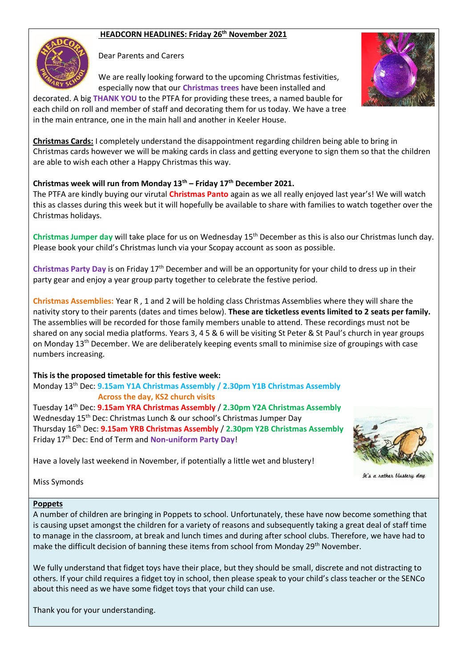# **HEADCORN HEADLINES: Friday 26th November 2021**



Dear Parents and Carers

We are really looking forward to the upcoming Christmas festivities, especially now that our **Christmas trees** have been installed and



decorated. A big **THANK YOU** to the PTFA for providing these trees, a named bauble for each child on roll and member of staff and decorating them for us today. We have a tree in the main entrance, one in the main hall and another in Keeler House.

**Christmas Cards:** I completely understand the disappointment regarding children being able to bring in Christmas cards however we will be making cards in class and getting everyone to sign them so that the children are able to wish each other a Happy Christmas this way.

### **Christmas week will run from Monday 13th – Friday 17th December 2021.**

The PTFA are kindly buying our virutal **Christmas Panto** again as we all really enjoyed last year's! We will watch this as classes during this week but it will hopefully be available to share with families to watch together over the Christmas holidays.

**Christmas Jumper day** will take place for us on Wednesday 15th December as this is also our Christmas lunch day. Please book your child's Christmas lunch via your Scopay account as soon as possible.

**Christmas Party Day** is on Friday 17th December and will be an opportunity for your child to dress up in their party gear and enjoy a year group party together to celebrate the festive period.

**Christmas Assemblies:** Year R , 1 and 2 will be holding class Christmas Assemblies where they will share the nativity story to their parents (dates and times below). **These are ticketless events limited to 2 seats per family.**  The assemblies will be recorded for those family members unable to attend. These recordings must not be shared on any social media platforms. Years 3, 4 5 & 6 will be visiting St Peter & St Paul's church in year groups on Monday 13<sup>th</sup> December. We are deliberately keeping events small to minimise size of groupings with case numbers increasing.

**This is the proposed timetable for this festive week:**

Monday 13th Dec: **9.15am Y1A Christmas Assembly / 2.30pm Y1B Christmas Assembly Across the day, KS2 church visits**

Tuesday 14th Dec: **9.15am YRA Christmas Assembly** / **2.30pm Y2A Christmas Assembly** Wednesday 15th Dec: Christmas Lunch & our school's Christmas Jumper Day Thursday 16th Dec: **9.15am YRB Christmas Assembly** / **2.30pm Y2B Christmas Assembly** Friday 17th Dec: End of Term and **Non-uniform Party Day**!

Have a lovely last weekend in November, if potentially a little wet and blustery!



It's a rather blustery day

Miss Symonds

#### **Poppets**

A number of children are bringing in Poppets to school. Unfortunately, these have now become something that is causing upset amongst the children for a variety of reasons and subsequently taking a great deal of staff time to manage in the classroom, at break and lunch times and during after school clubs. Therefore, we have had to make the difficult decision of banning these items from school from Monday 29<sup>th</sup> November.

We fully understand that fidget toys have their place, but they should be small, discrete and not distracting to others. If your child requires a fidget toy in school, then please speak to your child's class teacher or the SENCo about this need as we have some fidget toys that your child can use.

Thank you for your understanding.